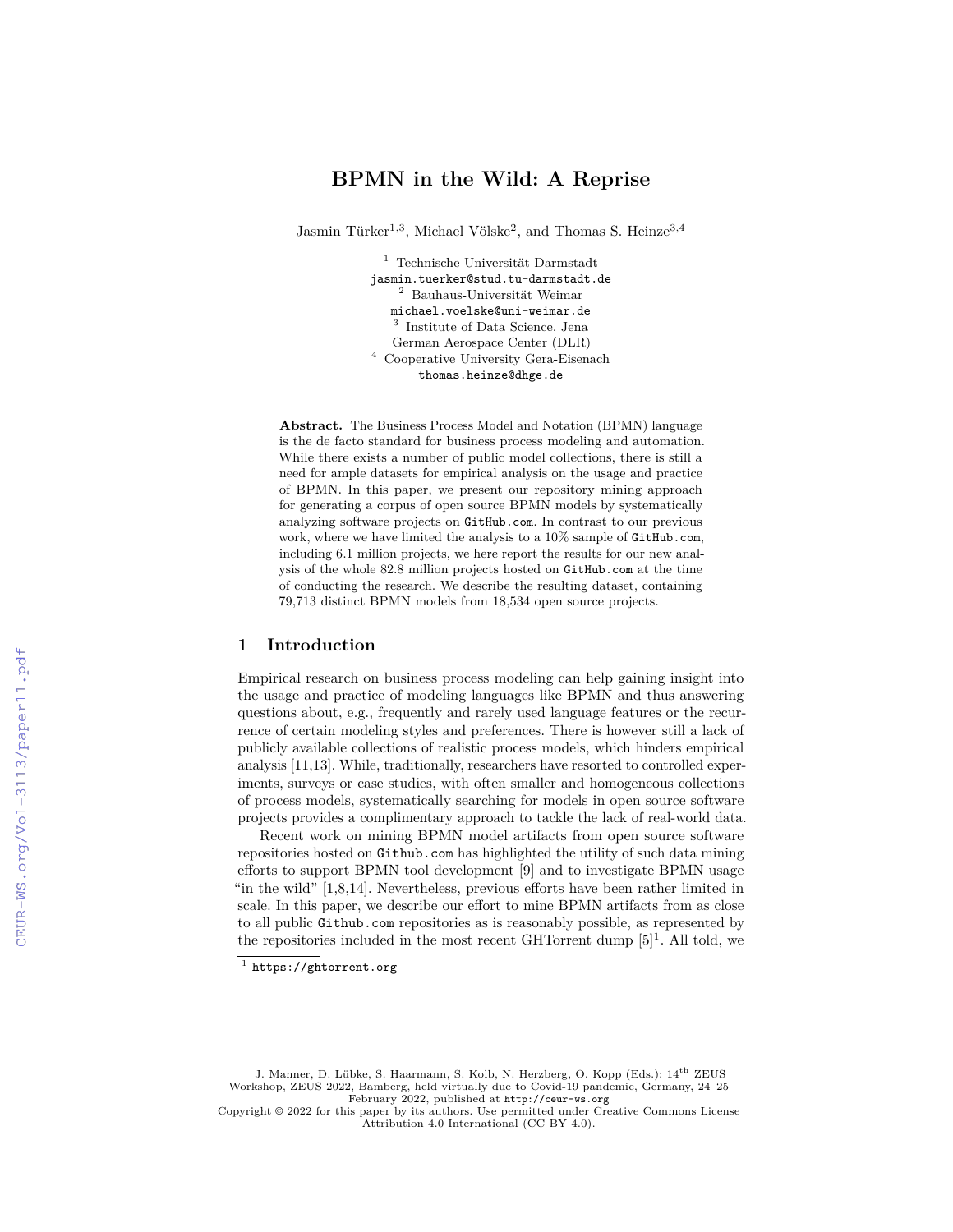# **BPMN in the Wild: A Reprise**

Jasmin Türker<sup>1,3</sup>, Michael Völske<sup>2</sup>, and Thomas S. Heinze<sup>3,4</sup>

 $^{\rm 1}$  Technische Universität Darmstadt jasmin.tuerker@stud.tu-darmstadt.de  $^{\rm 2}$ Bauhaus-Universität Weimar michael.voelske@uni-weimar.de 3 Institute of Data Science, Jena German Aerospace Center (DLR) <sup>4</sup> Cooperative University Gera-Eisenach thomas.heinze@dhge.de

**Abstract.** The Business Process Model and Notation (BPMN) language is the de facto standard for business process modeling and automation. While there exists a number of public model collections, there is still a need for ample datasets for empirical analysis on the usage and practice of BPMN. In this paper, we present our repository mining approach for generating a corpus of open source BPMN models by systematically analyzing software projects on <GitHub.com>. In contrast to our previous work, where we have limited the analysis to a 10% sample of <GitHub.com>, including 6.1 million projects, we here report the results for our new analysis of the whole 82.8 million projects hosted on <GitHub.com> at the time of conducting the research. We describe the resulting dataset, containing 79,713 distinct BPMN models from 18,534 open source projects.

### **1 Introduction**

Empirical research on business process modeling can help gaining insight into the usage and practice of modeling languages like BPMN and thus answering questions about, e.g., frequently and rarely used language features or the recurrence of certain modeling styles and preferences. There is however still a lack of publicly available collections of realistic process models, which hinders empirical analysis [11,13]. While, traditionally, researchers have resorted to controlled experiments, surveys or case studies, with often smaller and homogeneous collections of process models, systematically searching for models in open source software projects provides a complimentary approach to tackle the lack of real-world data.

Recent work on mining BPMN model artifacts from open source software repositories hosted on <Github.com> has highlighted the utility of such data mining efforts to support BPMN tool development [9] and to investigate BPMN usage "in the wild" [1,8,14]. Nevertheless, previous efforts have been rather limited in scale. In this paper, we describe our effort to mine BPMN artifacts from as close to all public <Github.com> repositories as is reasonably possible, as represented by the repositories included in the most recent GHTorrent dump  $[5]^1$ . All told, we

J. Manner, D. Lübke, S. Haarmann, S. Kolb, N. Herzberg, O. Kopp (Eds.):  $14^{\rm th}$  ZEUS Workshop, ZEUS 2022, Bamberg, held virtually due to Covid-19 pandemic, Germany, 24–25 February 2022, published at <http://ceur-ws.org>

 $<sup>1</sup>$  <https://ghtorrent.org></sup>

Copyright © 2022 for this paper by its authors. Use permitted under Creative Commons License Attribution 4.0 International (CC BY 4.0).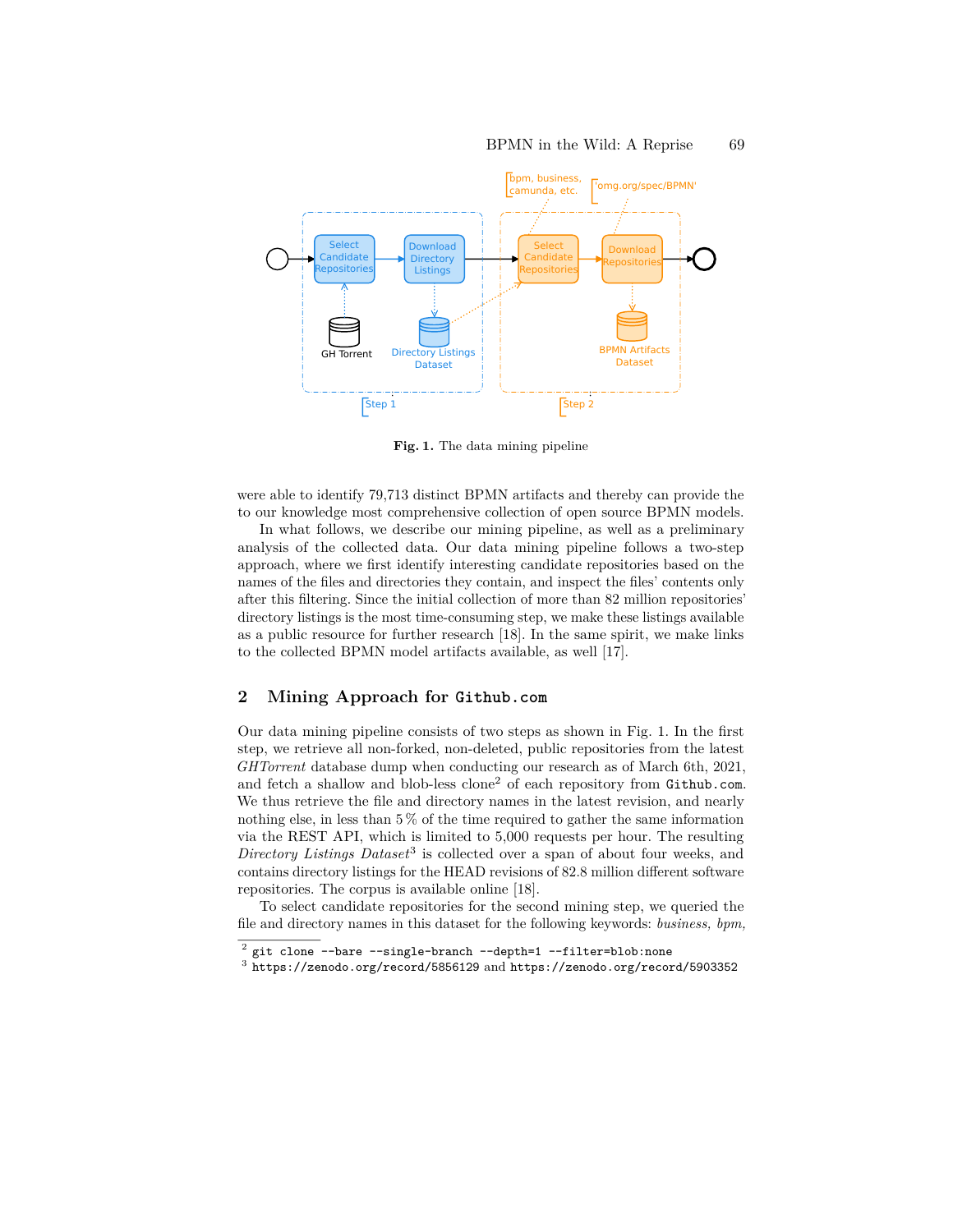

**Fig. 1.** The data mining pipeline

were able to identify 79,713 distinct BPMN artifacts and thereby can provide the to our knowledge most comprehensive collection of open source BPMN models.

In what follows, we describe our mining pipeline, as well as a preliminary analysis of the collected data. Our data mining pipeline follows a two-step approach, where we first identify interesting candidate repositories based on the names of the files and directories they contain, and inspect the files' contents only after this filtering. Since the initial collection of more than 82 million repositories' directory listings is the most time-consuming step, we make these listings available as a public resource for further research [18]. In the same spirit, we make links to the collected BPMN model artifacts available, as well [17].

## **2 Mining Approach for <Github.com>**

Our data mining pipeline consists of two steps as shown in Fig. 1. In the first step, we retrieve all non-forked, non-deleted, public repositories from the latest *GHTorrent* database dump when conducting our research as of March 6th, 2021, and fetch a shallow and blob-less clone2 of each repository from <Github.com>. We thus retrieve the file and directory names in the latest revision, and nearly nothing else, in less than 5 % of the time required to gather the same information via the REST API, which is limited to 5,000 requests per hour. The resulting *Directory Listings Dataset*3 is collected over a span of about four weeks, and contains directory listings for the HEAD revisions of 82.8 million different software repositories. The corpus is available online [18].

To select candidate repositories for the second mining step, we queried the file and directory names in this dataset for the following keywords: *business, bpm,*

 $^2$  git clone --bare --single-branch --depth=1 --filter=blob:none

 $^3$  <https://zenodo.org/record/5856129> and <https://zenodo.org/record/5903352>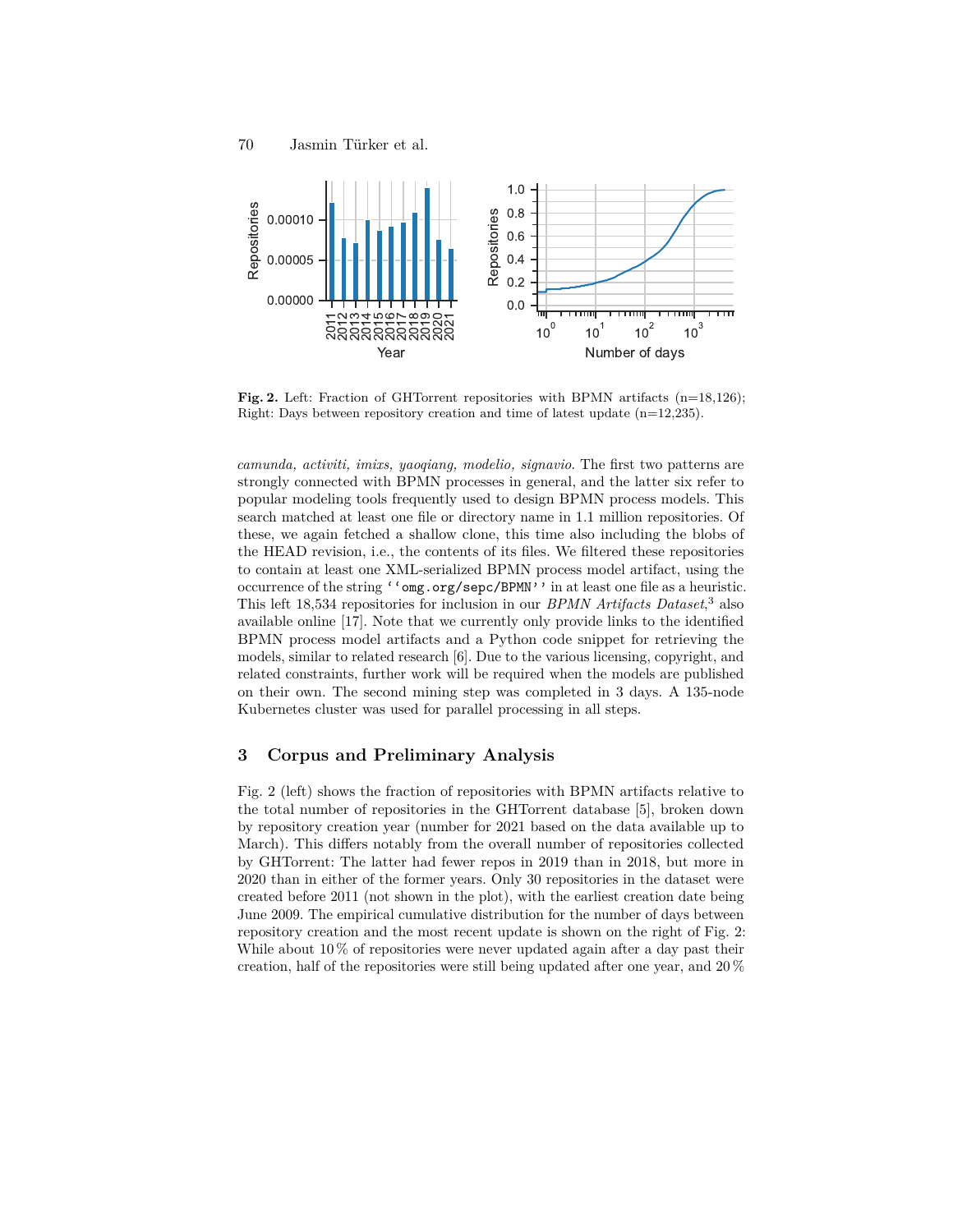

**Fig. 2.** Left: Fraction of GHTorrent repositories with BPMN artifacts  $(n=18,126)$ ; Right: Days between repository creation and time of latest update  $(n=12,235)$ .

*camunda, activiti, imixs, yaoqiang, modelio, signavio*. The first two patterns are strongly connected with BPMN processes in general, and the latter six refer to popular modeling tools frequently used to design BPMN process models. This search matched at least one file or directory name in 1.1 million repositories. Of these, we again fetched a shallow clone, this time also including the blobs of the HEAD revision, i.e., the contents of its files. We filtered these repositories to contain at least one XML-serialized BPMN process model artifact, using the occurrence of the string ''omg.org/sepc/BPMN'' in at least one file as a heuristic. This left 18,534 repositories for inclusion in our *BPMN Artifacts Dataset*, <sup>3</sup> also available online [17]. Note that we currently only provide links to the identified BPMN process model artifacts and a Python code snippet for retrieving the models, similar to related research [6]. Due to the various licensing, copyright, and related constraints, further work will be required when the models are published on their own. The second mining step was completed in 3 days. A 135-node Kubernetes cluster was used for parallel processing in all steps.

#### **3 Corpus and Preliminary Analysis**

Fig. 2 (left) shows the fraction of repositories with BPMN artifacts relative to the total number of repositories in the GHTorrent database [5], broken down by repository creation year (number for 2021 based on the data available up to March). This differs notably from the overall number of repositories collected by GHTorrent: The latter had fewer repos in 2019 than in 2018, but more in 2020 than in either of the former years. Only 30 repositories in the dataset were created before 2011 (not shown in the plot), with the earliest creation date being June 2009. The empirical cumulative distribution for the number of days between repository creation and the most recent update is shown on the right of Fig. 2: While about 10% of repositories were never updated again after a day past their creation, half of the repositories were still being updated after one year, and 20 %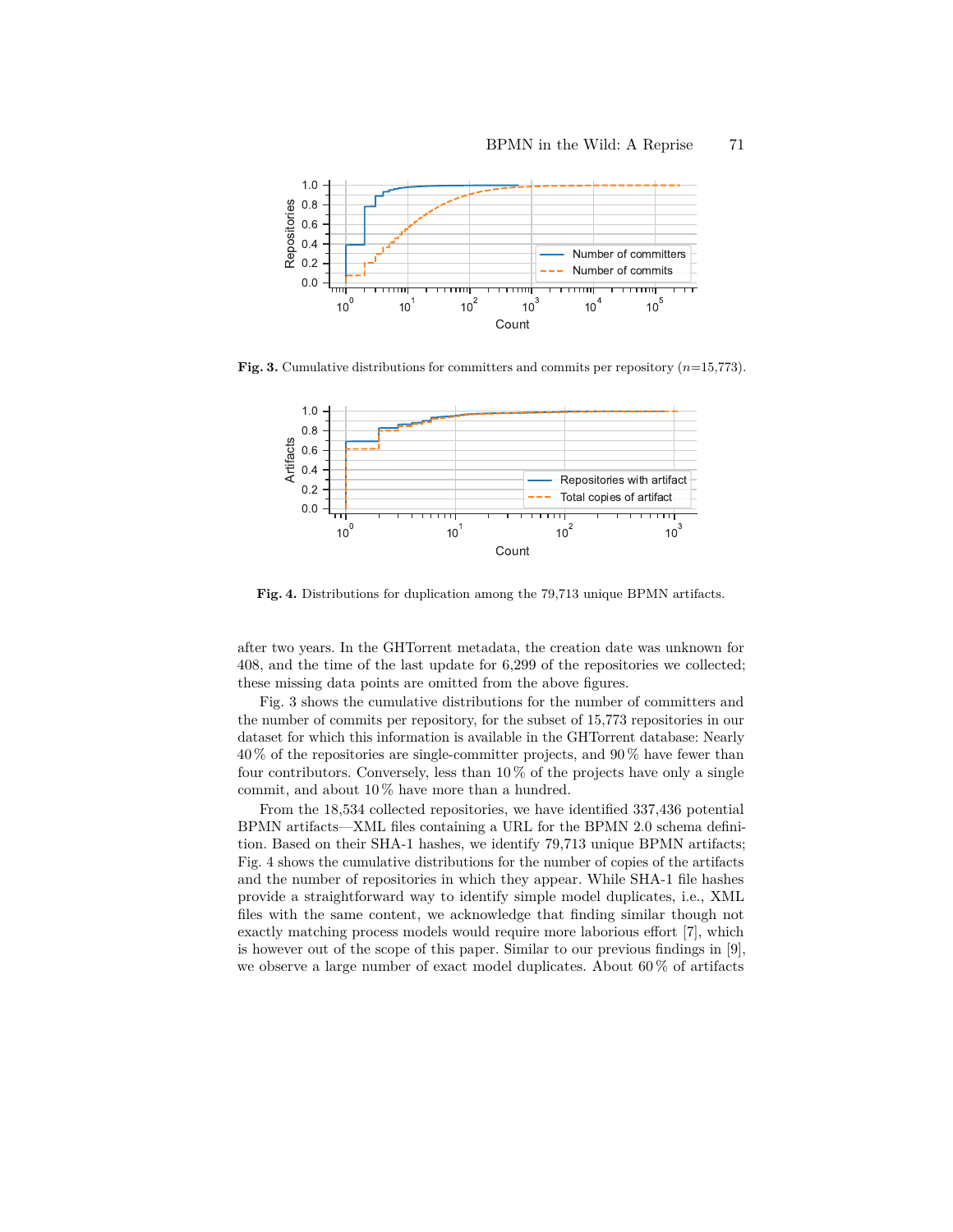

**Fig. 3.** Cumulative distributions for committers and commits per repository (*n*=15,773).



**Fig. 4.** Distributions for duplication among the 79,713 unique BPMN artifacts.

after two years. In the GHTorrent metadata, the creation date was unknown for 408, and the time of the last update for 6,299 of the repositories we collected; these missing data points are omitted from the above figures.

Fig. 3 shows the cumulative distributions for the number of committers and the number of commits per repository, for the subset of 15,773 repositories in our dataset for which this information is available in the GHTorrent database: Nearly 40 % of the repositories are single-committer projects, and 90 % have fewer than four contributors. Conversely, less than 10 % of the projects have only a single commit, and about 10 % have more than a hundred.

From the 18,534 collected repositories, we have identified 337,436 potential BPMN artifacts—XML files containing a URL for the BPMN 2.0 schema definition. Based on their SHA-1 hashes, we identify 79,713 unique BPMN artifacts; Fig. 4 shows the cumulative distributions for the number of copies of the artifacts and the number of repositories in which they appear. While SHA-1 file hashes provide a straightforward way to identify simple model duplicates, i.e., XML files with the same content, we acknowledge that finding similar though not exactly matching process models would require more laborious effort [7], which is however out of the scope of this paper. Similar to our previous findings in [9], we observe a large number of exact model duplicates. About 60 % of artifacts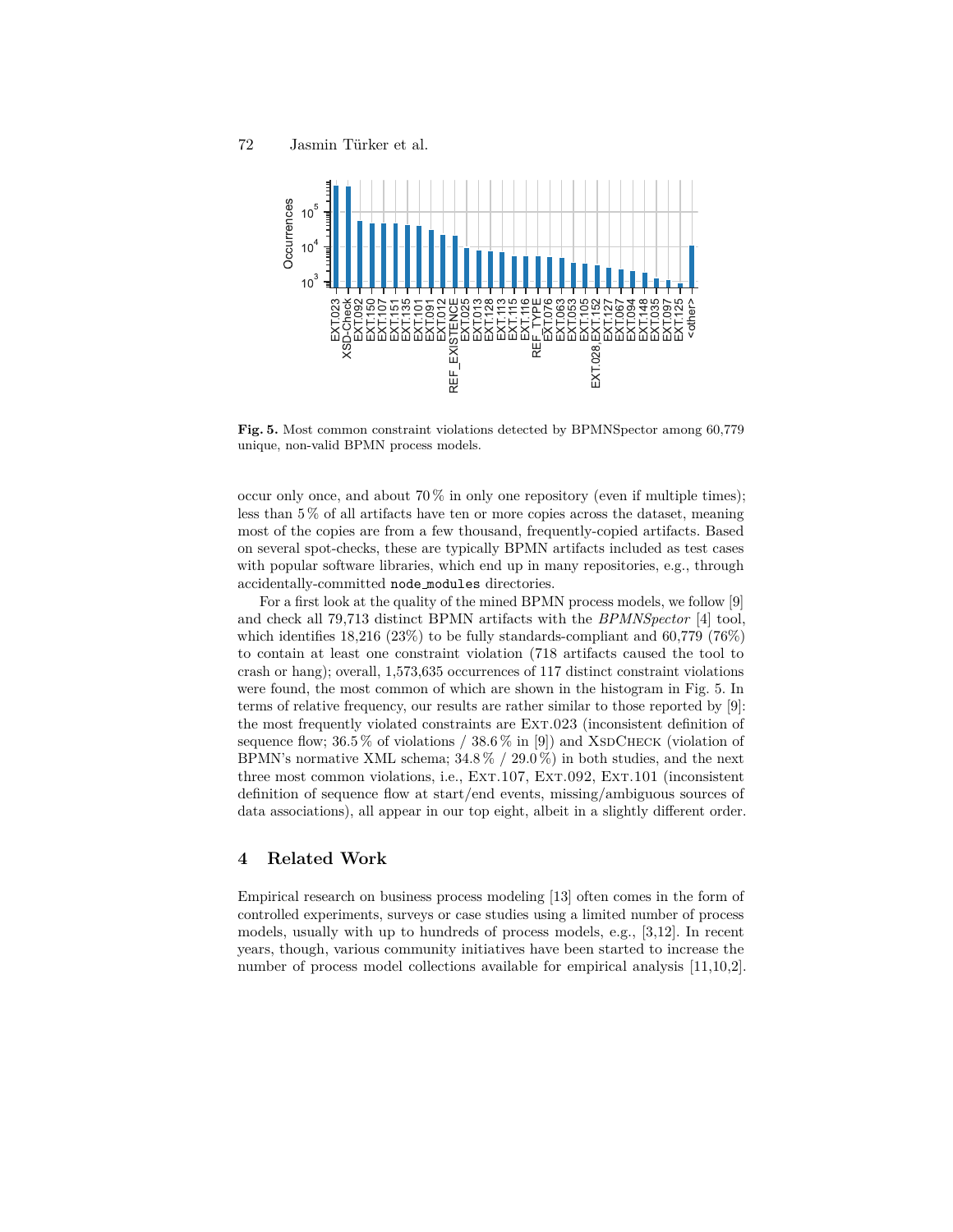

**Fig. 5.** Most common constraint violations detected by BPMNSpector among 60,779 unique, non-valid BPMN process models.

occur only once, and about  $70\%$  in only one repository (even if multiple times); less than 5 % of all artifacts have ten or more copies across the dataset, meaning most of the copies are from a few thousand, frequently-copied artifacts. Based on several spot-checks, these are typically BPMN artifacts included as test cases with popular software libraries, which end up in many repositories, e.g., through accidentally-committed node modules directories.

For a first look at the quality of the mined BPMN process models, we follow [9] and check all 79,713 distinct BPMN artifacts with the *BPMNSpector* [4] tool, which identifies  $18,216$  ( $23\%$ ) to be fully standards-compliant and  $60,779$  ( $76\%$ ) to contain at least one constraint violation (718 artifacts caused the tool to crash or hang); overall, 1,573,635 occurrences of 117 distinct constraint violations were found, the most common of which are shown in the histogram in Fig. 5. In terms of relative frequency, our results are rather similar to those reported by [9]: the most frequently violated constraints are Ext.023 (inconsistent definition of sequence flow;  $36.5\%$  of violations /  $38.6\%$  in [9]) and XSDCHECK (violation of BPMN's normative XML schema;  $34.8\%$  /  $29.0\%$ ) in both studies, and the next three most common violations, i.e., EXT.107, EXT.092, EXT.101 (inconsistent definition of sequence flow at start/end events, missing/ambiguous sources of data associations), all appear in our top eight, albeit in a slightly different order.

### **4 Related Work**

Empirical research on business process modeling [13] often comes in the form of controlled experiments, surveys or case studies using a limited number of process models, usually with up to hundreds of process models, e.g., [3,12]. In recent years, though, various community initiatives have been started to increase the number of process model collections available for empirical analysis [11,10,2].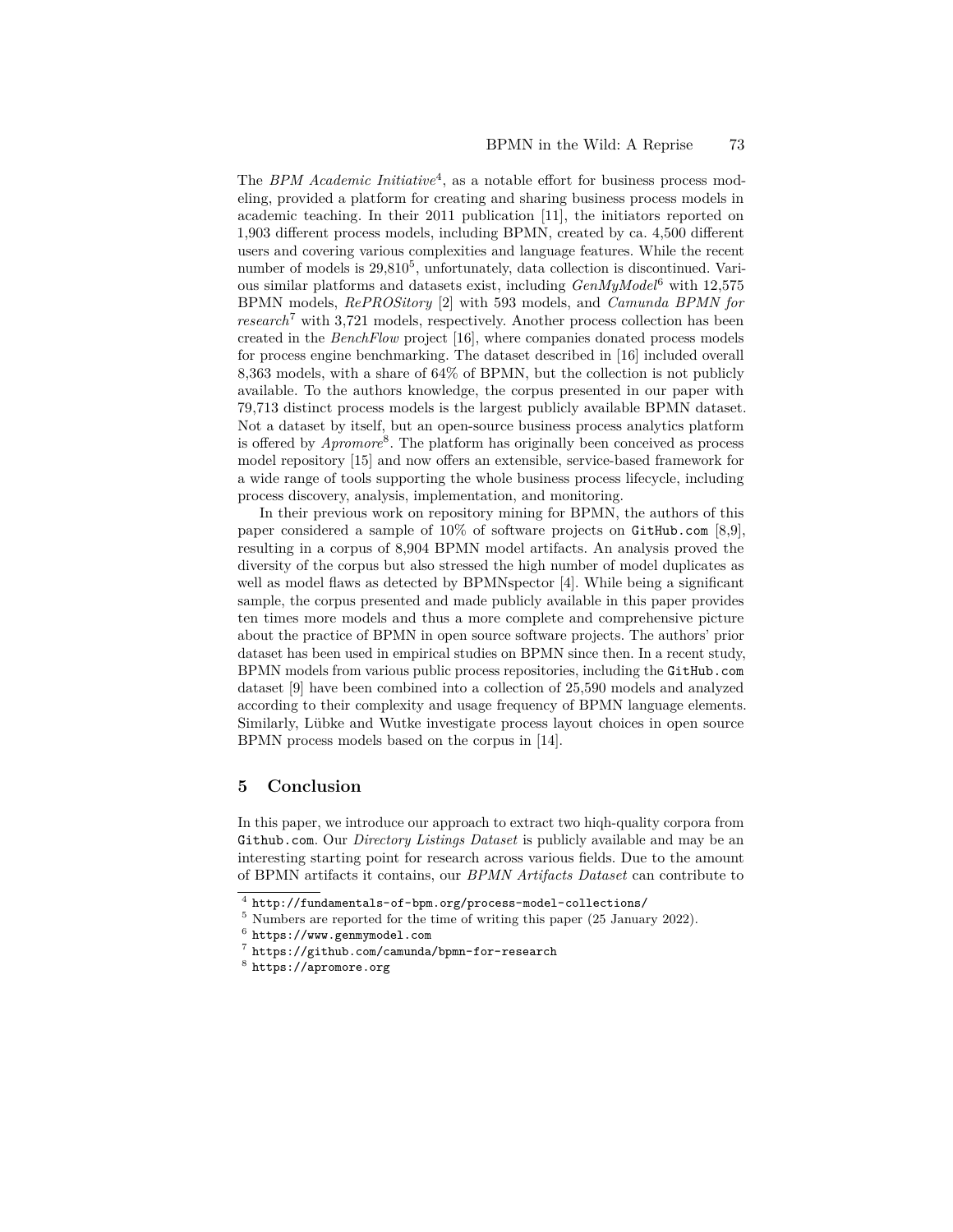The *BPM Academic Initiative*<sup>4</sup>, as a notable effort for business process modeling, provided a platform for creating and sharing business process models in academic teaching. In their 2011 publication [11], the initiators reported on 1,903 different process models, including BPMN, created by ca. 4,500 different users and covering various complexities and language features. While the recent number of models is  $29,810^5$ , unfortunately, data collection is discontinued. Various similar platforms and datasets exist, including *GenMyModel*6 with 12,575 BPMN models, *RePROSitory* [2] with 593 models, and *Camunda BPMN for research*7 with 3,721 models, respectively. Another process collection has been created in the *BenchFlow* project [16], where companies donated process models for process engine benchmarking. The dataset described in [16] included overall 8,363 models, with a share of 64% of BPMN, but the collection is not publicly available. To the authors knowledge, the corpus presented in our paper with 79,713 distinct process models is the largest publicly available BPMN dataset. Not a dataset by itself, but an open-source business process analytics platform is offered by *Apromore*8 . The platform has originally been conceived as process model repository [15] and now offers an extensible, service-based framework for a wide range of tools supporting the whole business process lifecycle, including process discovery, analysis, implementation, and monitoring.

In their previous work on repository mining for BPMN, the authors of this paper considered a sample of 10% of software projects on <GitHub.com> [8,9], resulting in a corpus of 8,904 BPMN model artifacts. An analysis proved the diversity of the corpus but also stressed the high number of model duplicates as well as model flaws as detected by BPMNspector [4]. While being a significant sample, the corpus presented and made publicly available in this paper provides ten times more models and thus a more complete and comprehensive picture about the practice of BPMN in open source software projects. The authors' prior dataset has been used in empirical studies on BPMN since then. In a recent study, BPMN models from various public process repositories, including the <GitHub.com> dataset [9] have been combined into a collection of 25,590 models and analyzed according to their complexity and usage frequency of BPMN language elements. Similarly, Lübke and Wutke investigate process layout choices in open source BPMN process models based on the corpus in [14].

### **5 Conclusion**

In this paper, we introduce our approach to extract two hiqh-quality corpora from Github.com. Our *Directory Listings Dataset* is publicly available and may be an interesting starting point for research across various fields. Due to the amount of BPMN artifacts it contains, our *BPMN Artifacts Dataset* can contribute to

<sup>4</sup> <http://fundamentals-of-bpm.org/process-model-collections/>

<sup>5</sup> Numbers are reported for the time of writing this paper (25 January 2022).

 $^6$  <https://www.genmymodel.com>

<sup>7</sup> <https://github.com/camunda/bpmn-for-research>

 $^8$  <https://apromore.org>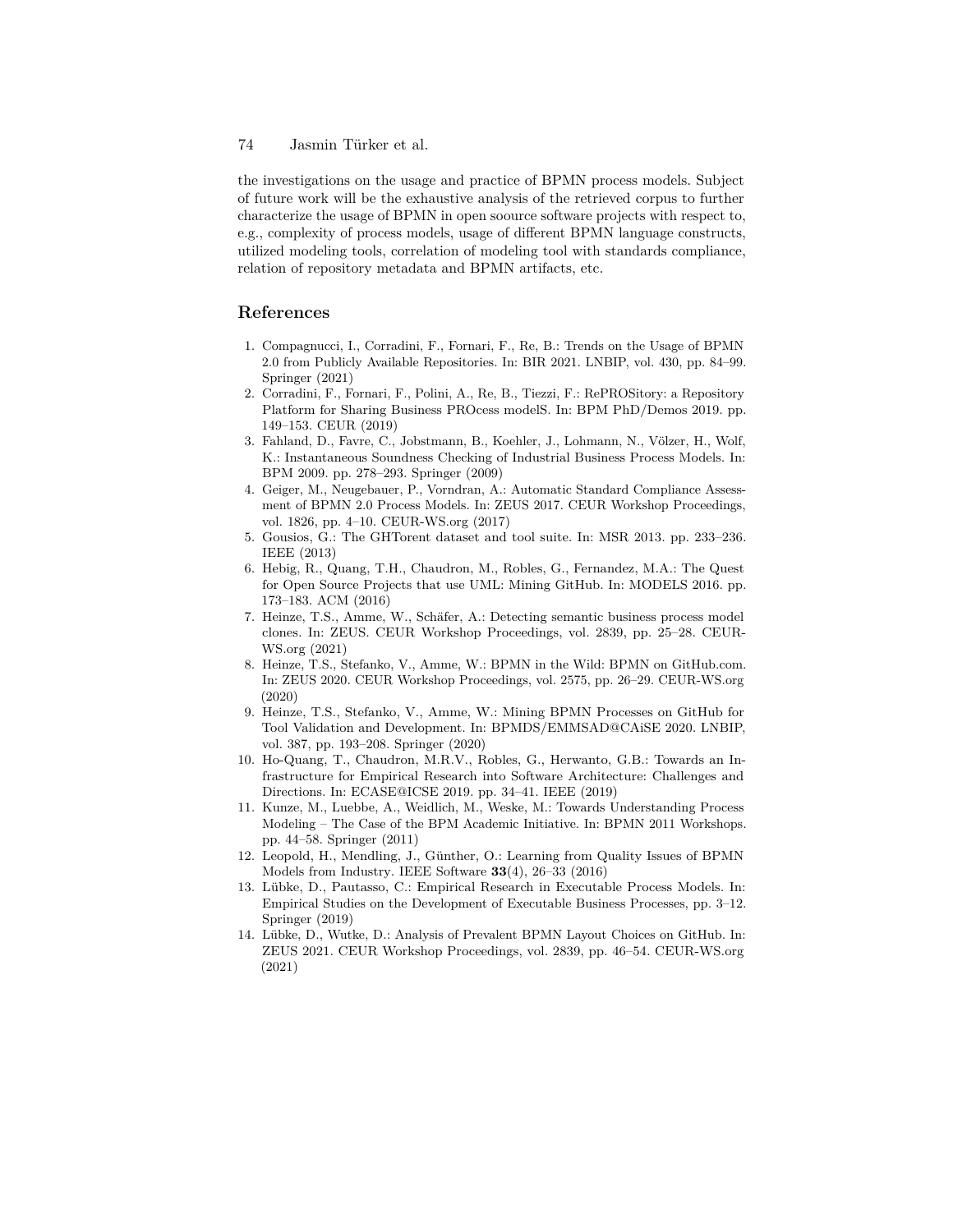#### 74 Jasmin Türker et al.

the investigations on the usage and practice of BPMN process models. Subject of future work will be the exhaustive analysis of the retrieved corpus to further characterize the usage of BPMN in open soource software projects with respect to, e.g., complexity of process models, usage of different BPMN language constructs, utilized modeling tools, correlation of modeling tool with standards compliance, relation of repository metadata and BPMN artifacts, etc.

#### **References**

- 1. Compagnucci, I., Corradini, F., Fornari, F., Re, B.: Trends on the Usage of BPMN 2.0 from Publicly Available Repositories. In: BIR 2021. LNBIP, vol. 430, pp. 84–99. Springer (2021)
- 2. Corradini, F., Fornari, F., Polini, A., Re, B., Tiezzi, F.: RePROSitory: a Repository Platform for Sharing Business PROcess modelS. In: BPM PhD/Demos 2019. pp. 149–153. CEUR (2019)
- 3. Fahland, D., Favre, C., Jobstmann, B., Koehler, J., Lohmann, N., Völzer, H., Wolf, K.: Instantaneous Soundness Checking of Industrial Business Process Models. In: BPM 2009. pp. 278–293. Springer (2009)
- 4. Geiger, M., Neugebauer, P., Vorndran, A.: Automatic Standard Compliance Assessment of BPMN 2.0 Process Models. In: ZEUS 2017. CEUR Workshop Proceedings, vol. 1826, pp. 4–10. CEUR-WS.org (2017)
- 5. Gousios, G.: The GHTorent dataset and tool suite. In: MSR 2013. pp. 233–236. IEEE (2013)
- 6. Hebig, R., Quang, T.H., Chaudron, M., Robles, G., Fernandez, M.A.: The Quest for Open Source Projects that use UML: Mining GitHub. In: MODELS 2016. pp. 173–183. ACM (2016)
- 7. Heinze, T.S., Amme, W., Schäfer, A.: Detecting semantic business process model clones. In: ZEUS. CEUR Workshop Proceedings, vol. 2839, pp. 25–28. CEUR-WS.org (2021)
- 8. Heinze, T.S., Stefanko, V., Amme, W.: BPMN in the Wild: BPMN on GitHub.com. In: ZEUS 2020. CEUR Workshop Proceedings, vol. 2575, pp. 26–29. CEUR-WS.org (2020)
- 9. Heinze, T.S., Stefanko, V., Amme, W.: Mining BPMN Processes on GitHub for Tool Validation and Development. In: BPMDS/EMMSAD@CAiSE 2020. LNBIP, vol. 387, pp. 193–208. Springer (2020)
- 10. Ho-Quang, T., Chaudron, M.R.V., Robles, G., Herwanto, G.B.: Towards an Infrastructure for Empirical Research into Software Architecture: Challenges and Directions. In: ECASE@ICSE 2019. pp. 34–41. IEEE (2019)
- 11. Kunze, M., Luebbe, A., Weidlich, M., Weske, M.: Towards Understanding Process Modeling – The Case of the BPM Academic Initiative. In: BPMN 2011 Workshops. pp. 44–58. Springer (2011)
- 12. Leopold, H., Mendling, J., Günther, O.: Learning from Quality Issues of BPMN Models from Industry. IEEE Software **33**(4), 26–33 (2016)
- 13. L¨ubke, D., Pautasso, C.: Empirical Research in Executable Process Models. In: Empirical Studies on the Development of Executable Business Processes, pp. 3–12. Springer (2019)
- 14. L¨ubke, D., Wutke, D.: Analysis of Prevalent BPMN Layout Choices on GitHub. In: ZEUS 2021. CEUR Workshop Proceedings, vol. 2839, pp. 46–54. CEUR-WS.org (2021)